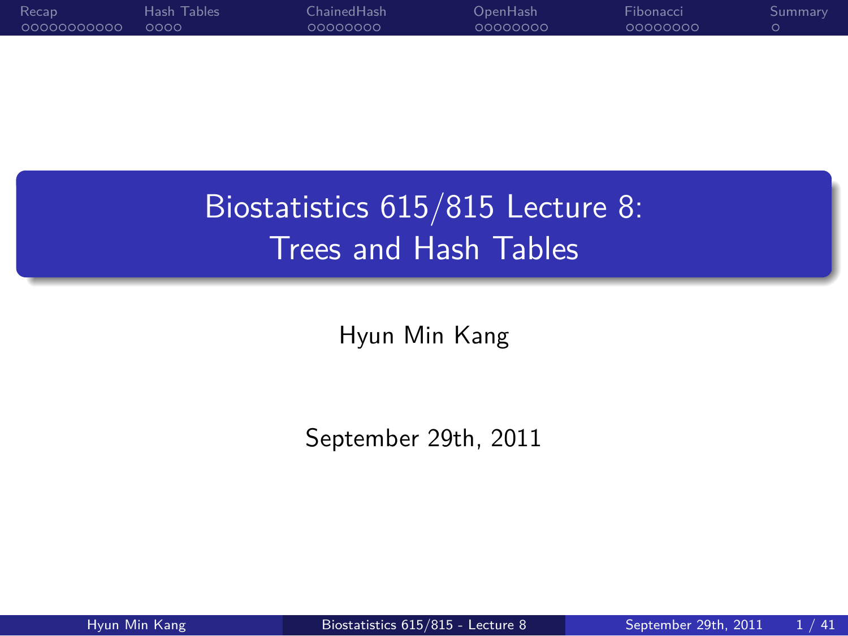0000000000 Recap Hash Tables<br>0000 ChainedHash<br>0000000 OpenHash<br>0000000 Fibonacci<br>0000000 . Summary

> Biostatistics 615/815 Lecture 8: Trees and Hash Tables

> > Hyun Min Kang

September 29th, 2011

.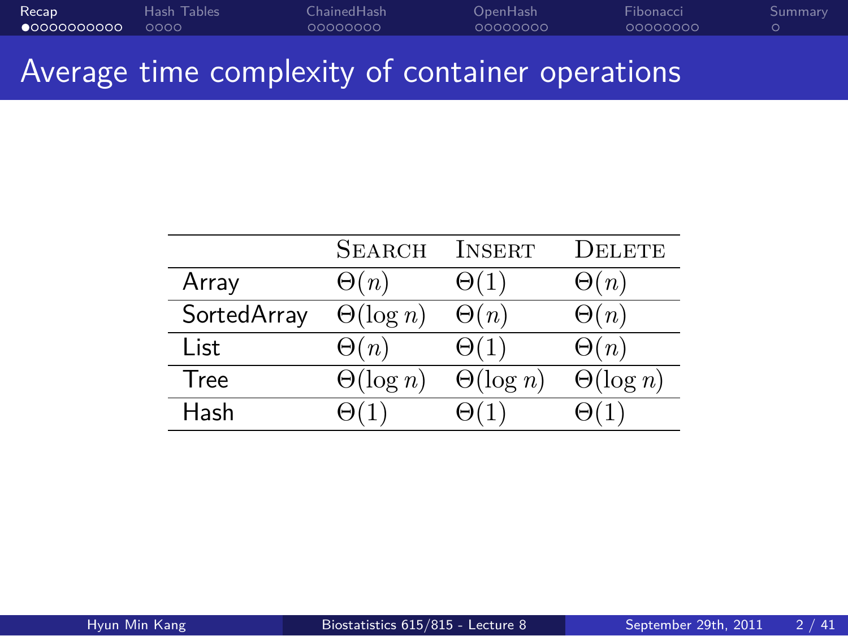#### Recap Hash Tables<br>•00000000000 0000 ChainedHash<br>0000000 OpenHash<br>0000000 Fibonacci<br>0000000 . Summary

Average time complexity of container operations

|             | <b>SEARCH</b>    | INSERT           | Delete           |
|-------------|------------------|------------------|------------------|
| Array       | $\Theta(n)$      | $\Theta(1)$      | $\Theta(n)$      |
| SortedArray | $\Theta(\log n)$ | $\Theta(n)$      | $\Theta(n)$      |
| List        | $\Theta(n)$      | $\Theta(1)$      | $\Theta(n)$      |
| <b>Tree</b> | $\Theta(\log n)$ | $\Theta(\log n)$ | $\Theta(\log n)$ |
| Hash        |                  |                  |                  |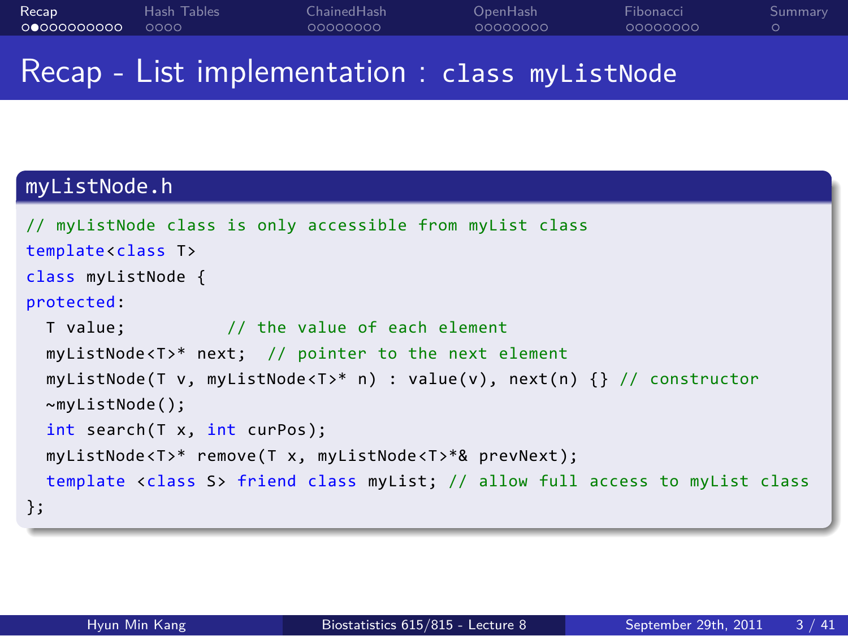. . . . . . . . . . . Recap . . . . Hash Tables ChainedHash<br>0000000 OpenHash<br>0000000 Fibonacci<br>0000000 . Summary Recap - List implementation : class myListNode

## myListNode.h

```
.
};
// myListNode class is only accessible from myList class
template<class T>
class myListNode {
protected:
  T value; // the value of each element
  myListNode<T>* next; // pointer to the next element
  myListNode(T v, myListNode<T>* n) : value(v), next(n) {} // constructor
  ~myListNode();
  int search(T x, int curPos);
  myListNode<T>* remove(T x, myListNode<T>*& prevNext);
  template <class S> friend class myList; // allow full access to myList class
```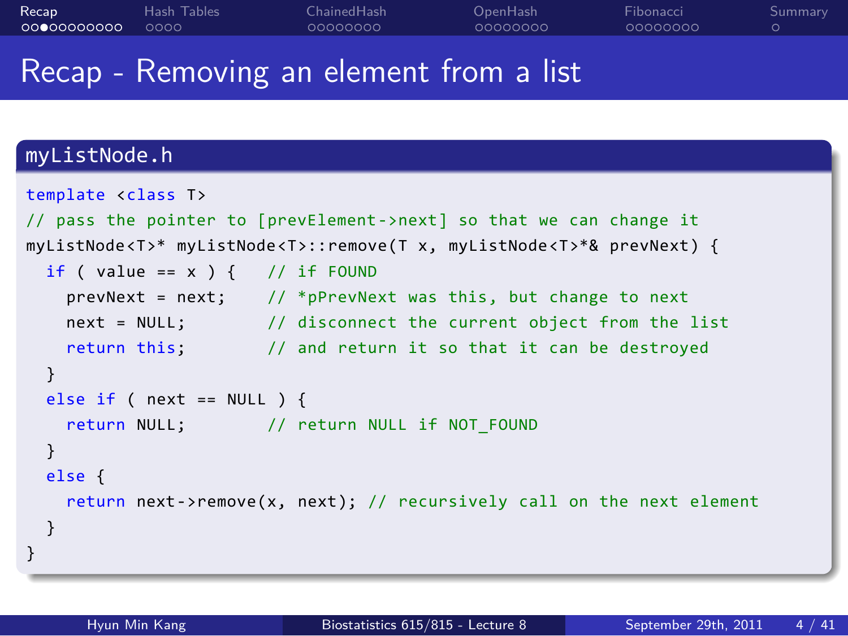#### . . . . . . . . . . . Recap . . . . Hash Tables ChainedHash<br>0000000 OpenHash<br>0000000 Fibonacci<br>0000000 . Summary

## Recap - Removing an element from a list

## myListNode.h

```
.
}
template <class T>
// pass the pointer to [prevElement->next] so that we can change it
myListNode<T>* myListNode<T>::remove(T x, myListNode<T>*& prevNext) {
 if ( value == x ) { // if FOUND
   prevNext = next; // *pPrevNext was this, but change to next
   next = NULL; // disconnect the current object from the list
   return this; \frac{1}{2} and return it so that it can be destroyed
 }
 else if ( next == NULL ) {
   return NULL; // return NULL if NOT_FOUND
 }
 else {
   return next->remove(x, next); // recursively call on the next element
 }
```
Hyun Min Kang Biostatistics 615/815 - Lecture 8 September 29th, 2011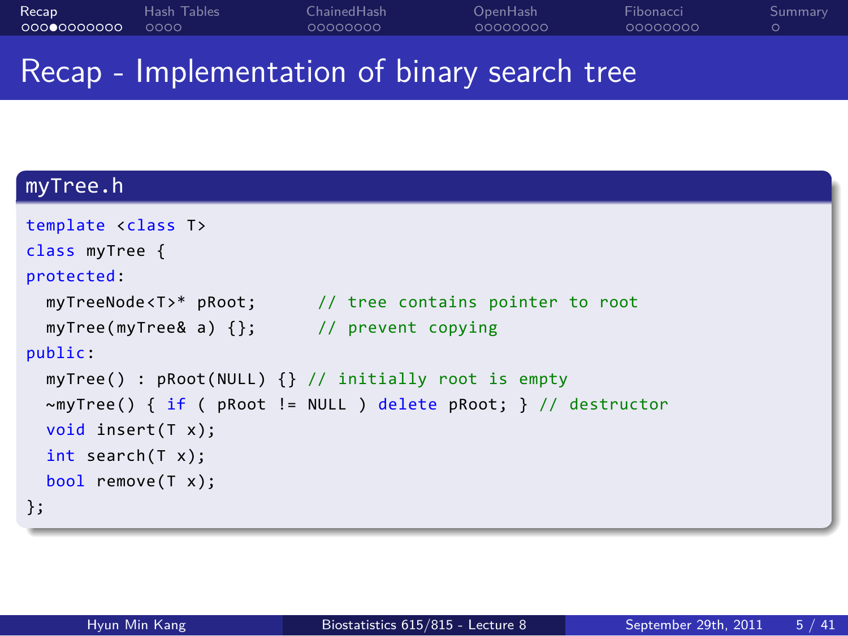Recap Hash Tables<br>00000000000 0000 ChainedHash<br>0000000 OpenHash<br>0000000 Fibonacci<br>0000000 . Summary

## Recap - Implementation of binary search tree

## . myTree.h .

| template <class t=""></class>                                        |
|----------------------------------------------------------------------|
| class myTree {                                                       |
| protected:                                                           |
| myTreeNode <t>* pRoot; // tree contains pointer to root</t>          |
| $myTree(myTree& a)$ {}; // prevent copying                           |
| public:                                                              |
| myTree() : $pRoot(NULL)$ {} // initially root is empty               |
| $\sim$ myTree() { if ( pRoot != NULL ) delete pRoot; } // destructor |
| void insert $(T x)$ ;                                                |
| int search(T x);                                                     |
| bool remove $(T x)$ ;                                                |
| };                                                                   |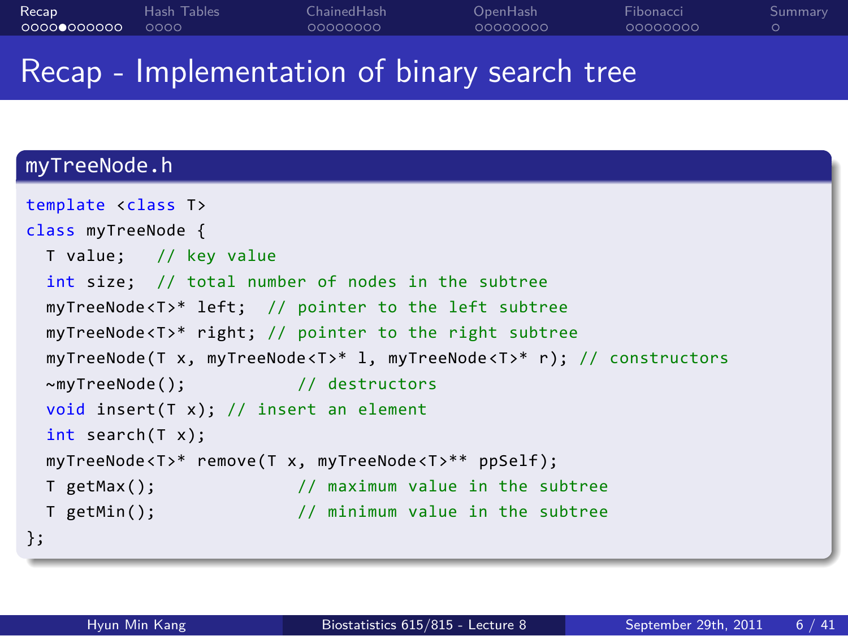#### . . . . . . . . . . . Recap . . . . Hash Tables ChainedHash<br>0000000 OpenHash<br>0000000 Fibonacci<br>0000000 . Summary Recap - Implementation of binary search tree

```
.
};
template <class T>
class myTreeNode {
 T value; // key value
 int size; // total number of nodes in the subtree
 myTreeNode<T>* left; // pointer to the left subtree
 myTreeNode<T>* right; // pointer to the right subtree
 myTreeNode(T x, myTreeNode<T>* l, myTreeNode<T>* r); // constructors
 ~myTreeNode(); // destructors
 void insert(T x); // insert an element
 int search(T x);
 myTreeNode<T>* remove(T x, myTreeNode<T>** ppSelf);
 T getMax(); // maximum value in the subtree
 T getMin(); // minimum value in the subtree
```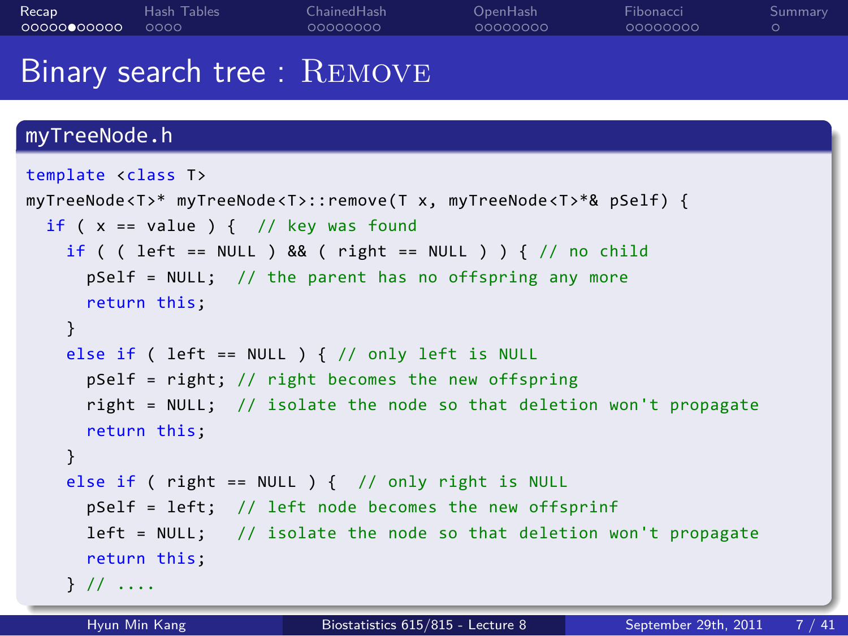ChainedHash<br>0000000

OpenHash<br>0000000

Fibonacci<br>0000000

. Summary

### Binary search tree : Remove

```
myTreeNode.h
template <class T>
myTreeNode<T>* myTreeNode<T>::remove(T x, myTreeNode<T>*& pSelf) {
  if (x == value) { // key was found
    if ( ( left == NULL ) && ( right == NULL ) ) { // no child
      pSelf = NULL; // the parent has no offspring any more
      return this;
    }
    else if ( left == NULL ) { // only left is NULL
      pSelf = right; // right becomes the new offspring
      right = NULL; // isolate the node so that deletion won't propagate
      return this;
    }
    else if ( right == NULL ) { // only right is NULL
      pSelf = left; // left node becomes the new offsprinf
      left = NULL; // isolate the node so that deletion won't propagate
      return this;
    } // ....
      Hyun Min Kang Biostatistics 615/815 - Lecture 8 September 29th, 2011 7 / 41
```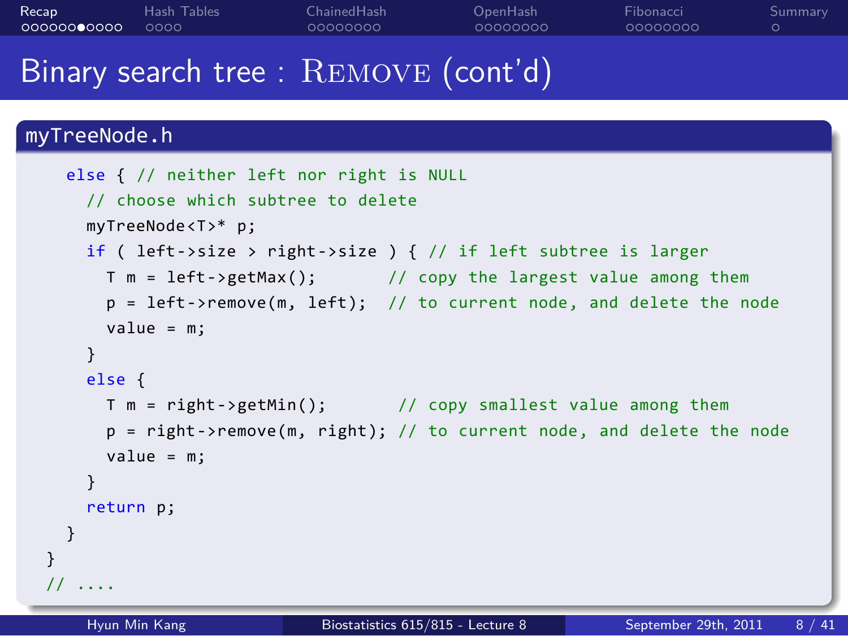#### . . . . . . . . . . . Recap . . . . Hash Tables ChainedHash<br>0000000 OpenHash<br>0000000 Fibonacci<br>0000000

. Summary

### Binary search tree : REMOVE (cont'd)

```
else { // neither left nor right is NULL
   // choose which subtree to delete
   myTreeNode<T>* p;
   if ( left->size > right->size ) { // if left subtree is larger
     T m = left->getMax(); // copy the largest value among them
     p = left->remove(m, left); // to current node, and delete the node
     value = m;
   }
   else {
     T m = right->getMin(); // copy smallest value among them
     p = right->remove(m, right); // to current node, and delete the node
     value = m;
   }
   return p;
 }
}
// ....
   Hyun Min Kang Biostatistics 615/815 - Lecture 8 September 29th, 2011 8 / 41
```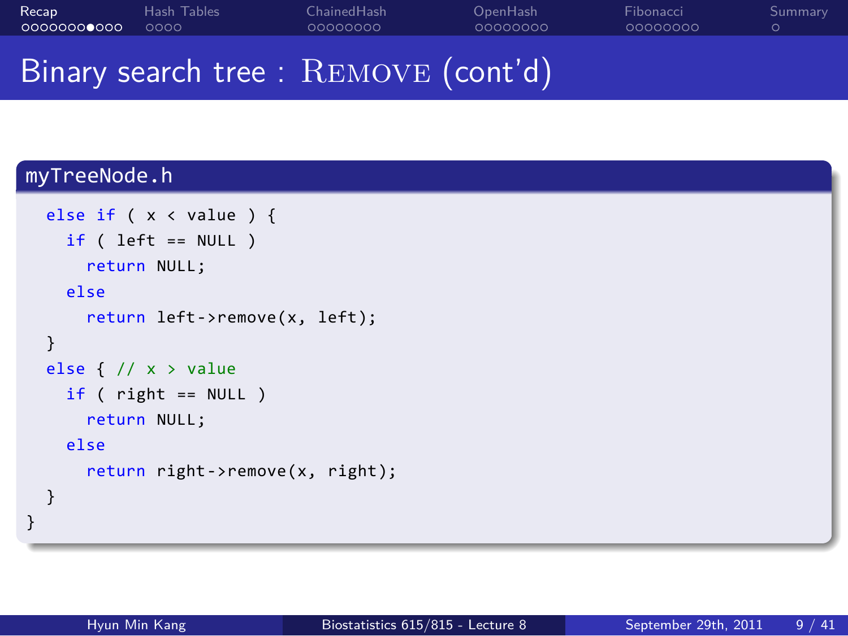#### . . . . . . . . . . . Recap . . . . Hash Tables ChainedHash<br>0000000 OpenHash<br>0000000 Fibonacci<br>0000000 . Summary

## Binary search tree : REMOVE (cont'd)

```
.
}
 else if ( x < value ) {
   if (left == NULL)return NULL;
   else
     return left->remove(x, left);
 }
 else { // x > value
  if ( right == NULL )
     return NULL;
   else
     return right->remove(x, right);
 }
```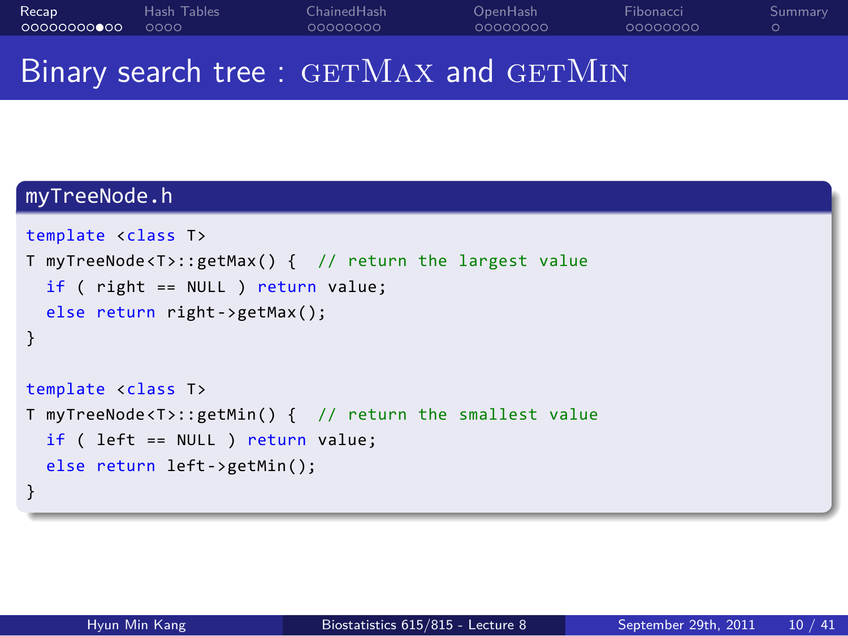. . . . . . . . . . . Recap . . . . Hash Tables ChainedHash<br>0000000 OpenHash<br>0000000 Fibonacci<br>0000000 . Summary

## Binary search tree : GETMAX and GETMIN

```
.
}
template <class T>
T myTreeNode<T>::getMax() { // return the largest value
  if ( right == NULL ) return value;
  else return right->getMax();
}
template <class T>
T myTreeNode<T>::getMin() { // return the smallest value
  if ( left == NULL ) return value;
  else return left->getMin();
```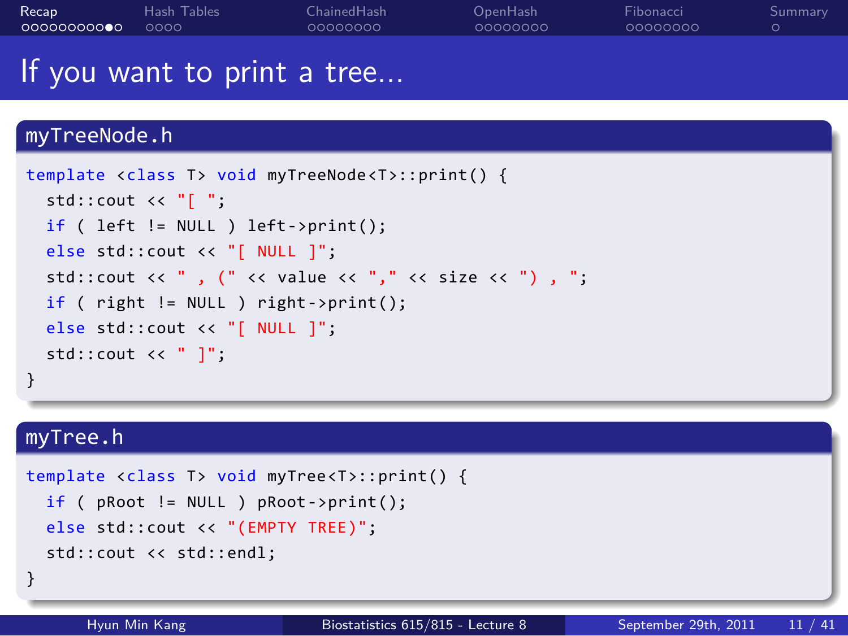| Recap       | Hash Tables | Chained Hash | OpenHash | Fibonacci | <b>Summary</b> |
|-------------|-------------|--------------|----------|-----------|----------------|
| 00000000000 | noon.       | 00000000     | 00000000 | 00000000  |                |
|             |             |              |          |           |                |

### If you want to print a tree...

#### myTreeNode.h . } template <class T> void myTreeNode<T>::print() { std::cout << "[ "; if ( left != NULL ) left->print(); else std::cout << "[ NULL ]"; std::cout << ", (" << value << "," << size << ") , "; if ( right != NULL ) right->print(); else std::cout << "[ NULL ]"; std::cout << " ]"; . myTree.h . template <class T> void myTree<T>::print() { if ( pRoot != NULL ) pRoot->print(); else std::cout << "(EMPTY TREE)"; std::cout << std::endl;

Hyun Min Kang Biostatistics 615/815 - Lecture 8 September 29th, 2011 11 / 41

. }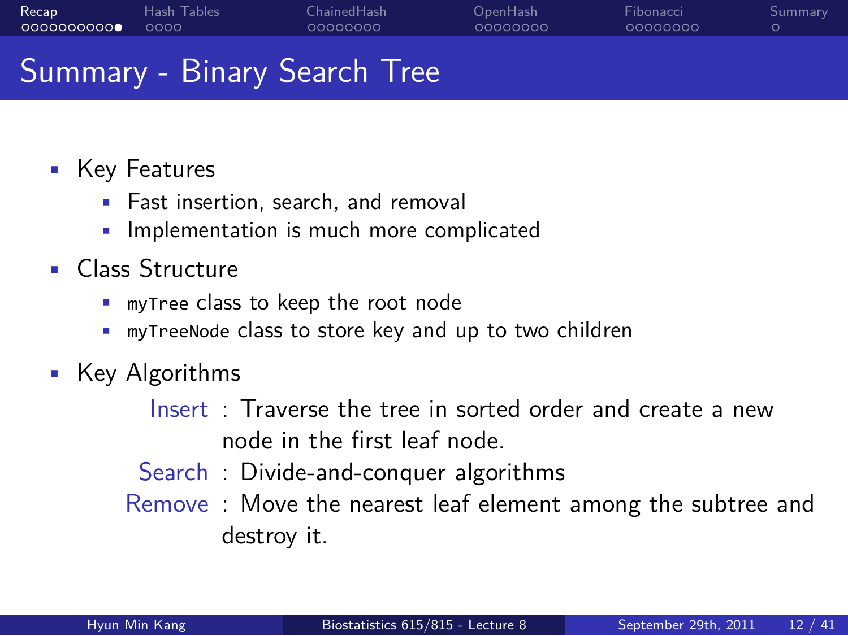#### Recap<br>0000000000 Hash Tables<br>0000 ChainedHash<br>0000000 OpenHash<br>0000000 Fibonacci<br>0000000

#### Summary - Binary Search Tree

- Key Features
	- Fast insertion, search, and removal
	- Implementation is much more complicated
- Class Structure
	- myTree class to keep the root node
	- myTreeNode class to store key and up to two children
- Key Algorithms
	- Insert : Traverse the tree in sorted order and create a new node in the first leaf node.
	- Search : Divide-and-conquer algorithms
	- Remove : Move the nearest leaf element among the subtree and destroy it.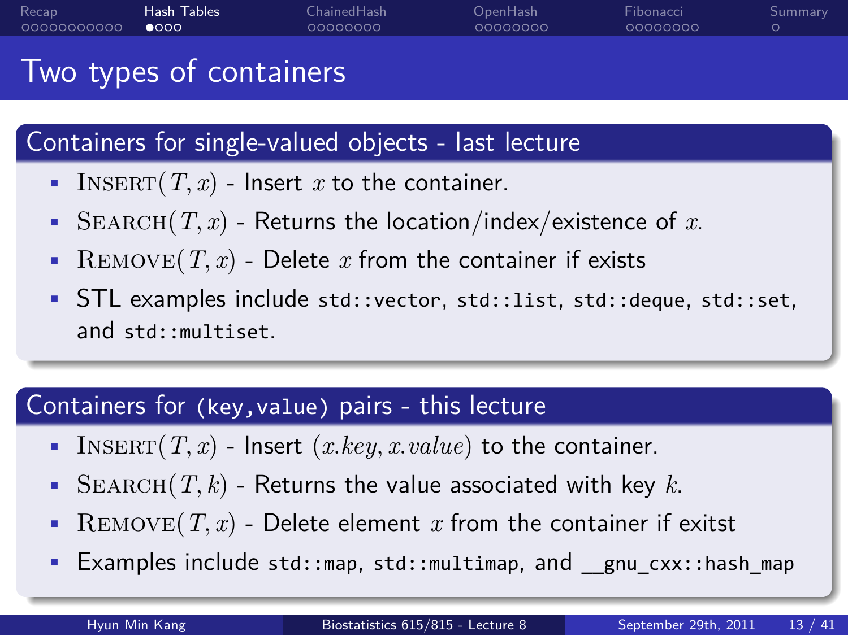#### Recap<br>00000000000 Hash Tables<br>●○○○ ChainedHash<br>0000000 OpenHash<br>0000000 Fibonacci<br>0000000

#### Two types of containers

# . Containers for single-valued objects - last lecture .

- INSERT $(T, x)$  Insert *x* to the container.
- SEARCH $(T, x)$  Returns the location/index/existence of  $x$ .
- REMOVE $(T, x)$  Delete  $x$  from the container if exists
- STL examples include std::vector, std::list, std::deque, std::set, and std::multiset.

# . Containers for (key,value) pairs - this lecture .

- INSERT $(T, x)$  Insert  $(x \text{.} key, x \text{.} value)$  to the container.
- SEARCH $(T, k)$  Returns the value associated with key  $k$ .
- REMOVE $(T, x)$  Delete element  $x$  from the container if exitst
- Examples include std::map, std::multimap, and \_\_gnu\_cxx::hash\_map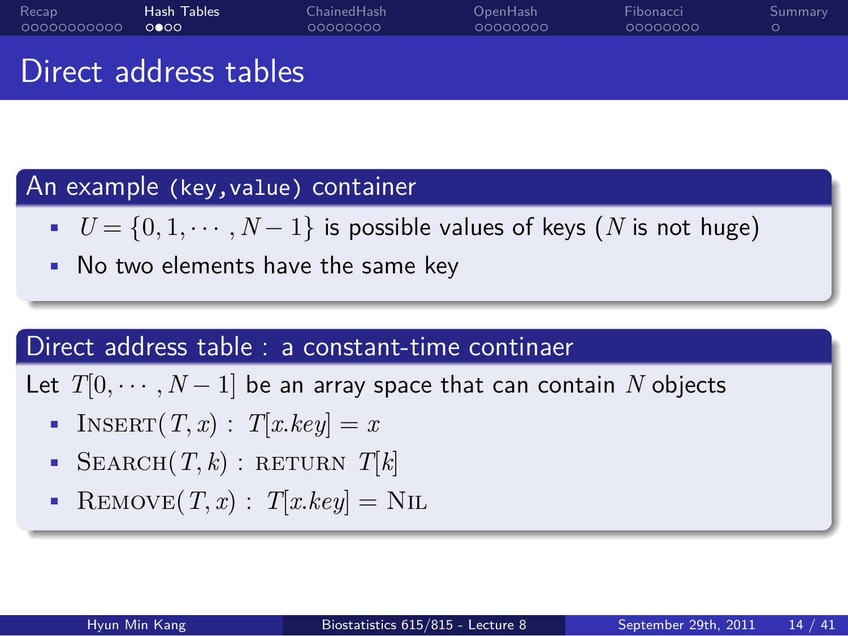Fibonacci<br>0000000

. Summary

OpenHash<br>0000000

Direct address tables

# . An example (key,value) container .

•  $U = \{0, 1, \dots, N - 1\}$  is possible values of keys (*N* is not huge)

ChainedHash<br>0000000

• No two elements have the same key

## . Direct address table : a constant-time continaer .

Let  $T[0, \cdots, N-1]$  be an array space that can contain  $N$  objects

- INSERT $(T, x)$  :  $T[xkey] = x$
- SEARCH $(T, k)$ : RETURN  $T[k]$
- REMOVE $(T, x)$  :  $T[xkey] =$ NIL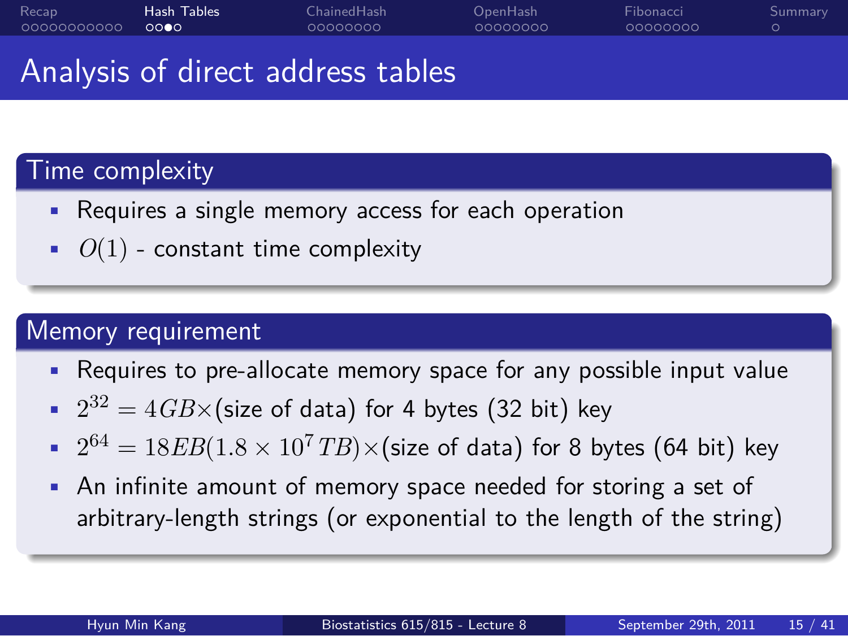ChainedHash<br>0000000

Fibonacci<br>0000000 Summary

.

Analysis of direct address tables

# . Time complexity .

- Requires a single memory access for each operation
- $\bullet$   $O(1)$  constant time complexity

# . Memory requirement .

• Requires to pre-allocate memory space for any possible input value

OpenHash<br>0000000

- $\bullet$   $2^{32} = 4$  *GB* $\times$  (size of data) for 4 bytes (32 bit) key
- $2^{64} = 18EB(1.8 \times 10^7 TB) \times (size of data)$  for 8 bytes (64 bit) key
- An infinite amount of memory space needed for storing a set of arbitrary-length strings (or exponential to the length of the string)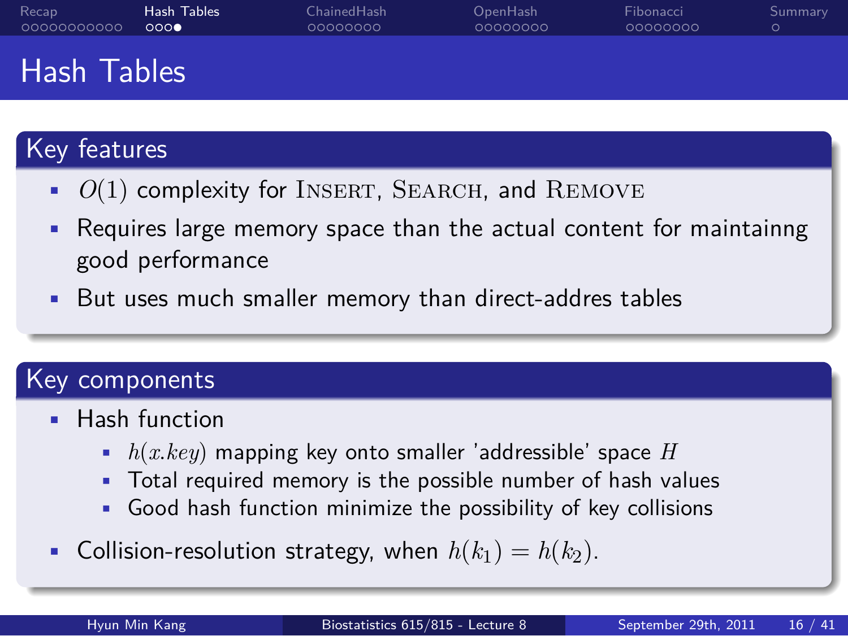OpenHash<br>0000000 Fibonacci<br>0000000

### Hash Tables

# . Key features .

 $\bullet$   $O(1)$  complexity for INSERT, SEARCH, and REMOVE

ChainedHash<br>0000000

- Requires large memory space than the actual content for maintainng good performance
- But uses much smaller memory than direct-addres tables

# . Key components .

- Hash function
	- *h*(*x.key*) mapping key onto smaller 'addressible' space *H*
	- Total required memory is the possible number of hash values
	- Good hash function minimize the possibility of key collisions
- Collision-resolution strategy, when  $h(k_1) = h(k_2)$ .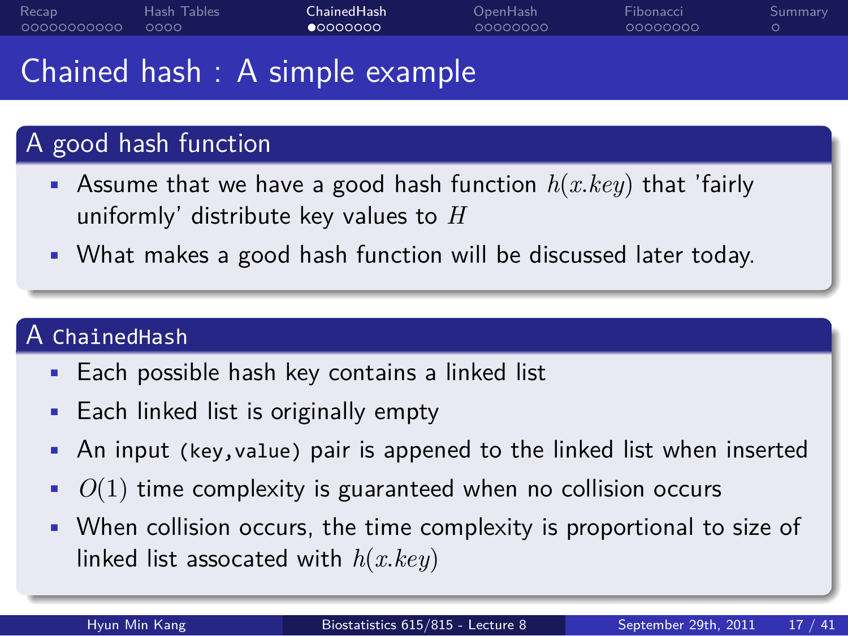#### Recap<br>00000000000 Hash Tables<br>0000 ChainedHash<br>●○○○○○○○

Fibonacci<br>0000000

. Summary

### Chained hash : A simple example

# . A good hash function .

• Assume that we have a good hash function *h*(*x.key*) that 'fairly uniformly' distribute key values to *H*

OpenHash<br>0000000

• What makes a good hash function will be discussed later today.

## . A ChainedHash .

- Each possible hash key contains a linked list
- Each linked list is originally empty
- An input (key,value) pair is appened to the linked list when inserted
- *O*(1) time complexity is guaranteed when no collision occurs
- When collision occurs, the time complexity is proportional to size of linked list assocated with *h*(*x.key*)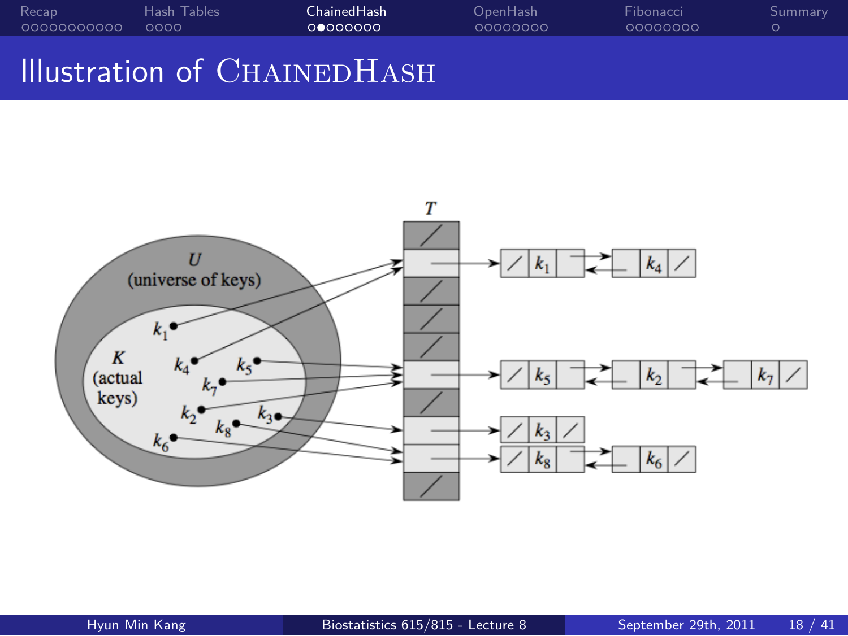#### . . . . . . . . . . . Recap . . . . Hash Tables ChainedHash<br>0000000 OpenHash<br>0000000 Fibonacci<br>0000000 Illustration of CHAINEDHASH

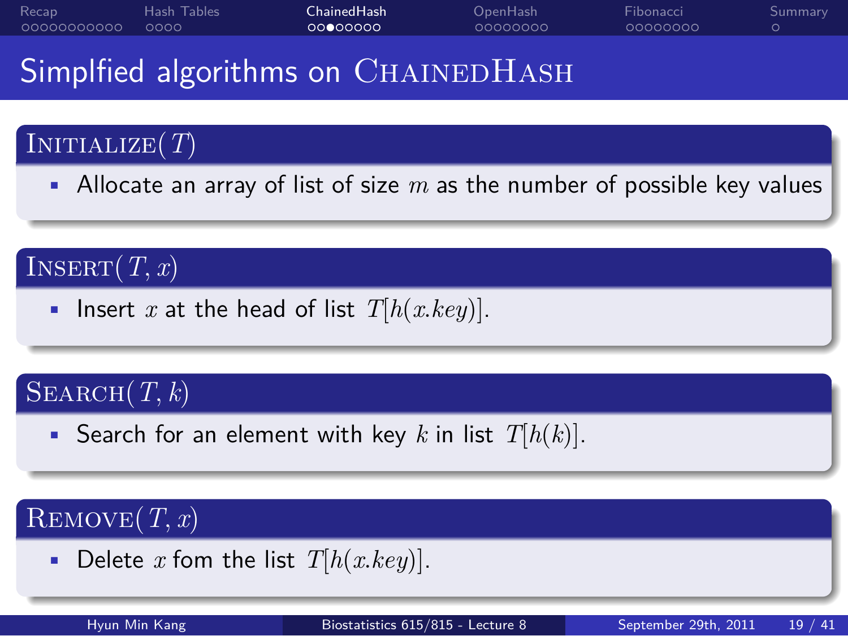#### ChainedHash<br>0000000

Fibonacci<br>0000000

. Summary

## Simplfied algorithms on CHAINEDHASH

#### . Initialize(*T*)

• Allocate an array of list of size *m* as the number of possible key values

OpenHash<br>0000000

#### .  $\text{INSERT}(T, x)$

• Insert *x* at the head of list  $T[h(x \text{.} key)].$ 

#### .  $\text{SEARCH}(T, k)$

• Search for an element with key *k* in list *T*[*h*(*k*)].

#### .  $\text{REMOVE}(\textit{T}, \textit{x})$

- Delete  $x$  fom the list  $T[h(x \text{.} key)].$ 
	-

Hyun Min Kang Biostatistics 615/815 - Lecture 8 September 29th, 2011 19 / 41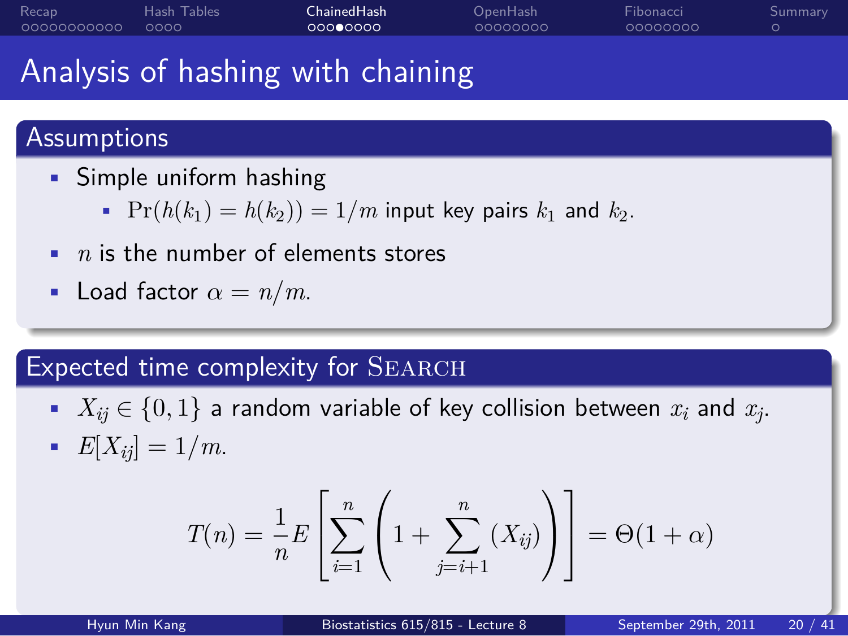#### ChainedHash<br>000**0**000

OpenHash<br>0000000

Fibonacci<br>0000000

. Summary

## Analysis of hashing with chaining

# . Assumptions .

- Simple uniform hashing
	- $Pr(h(k_1) = h(k_2)) = 1/m$  input key pairs  $k_1$  and  $k_2$ .
- *n* is the number of elements stores
- Load factor  $\alpha = n/m$ .

# Expected time complexity for SEARCH

- $X_{ij} \in \{0,1\}$  a random variable of key collision between  $x_i$  and  $x_j$ .
- $E[X_{ij}] = 1/m$ .

$$
T(n) = \frac{1}{n} E\left[\sum_{i=1}^{n} \left(1 + \sum_{j=i+1}^{n} (X_{ij})\right)\right] = \Theta(1+\alpha)
$$

Hyun Min Kang Biostatistics 615/815 - Lecture 8 September 29th, 2011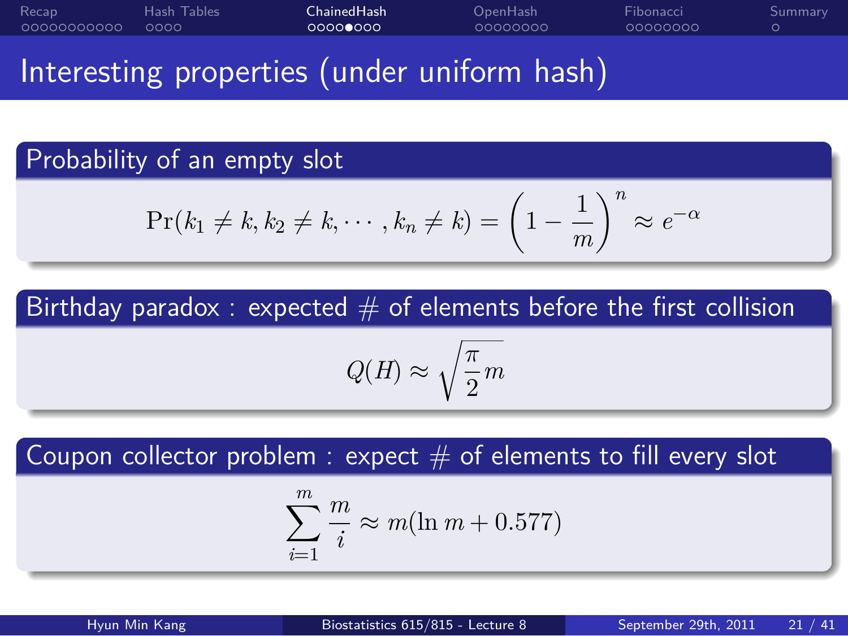#### . . . . . . . . . . . Recap . . . . Hash Tables ChainedHash<br>00000000 OpenHash<br>0000000 Fibonacci<br>0000000 . Summary

Interesting properties (under uniform hash)

. Probability of an empty slot .

$$
\Pr(k_1 \neq k, k_2 \neq k, \cdots, k_n \neq k) = \left(1 - \frac{1}{m}\right)^n \approx e^{-\alpha}
$$

Birthday paradox : expected  $\#$  of elements before the first collision

$$
Q(H) \approx \sqrt{\frac{\pi}{2}m}
$$

Coupon collector problem  $:$  expect  $\#$  of elements to fill every slot

$$
\sum_{i=1}^{m} \frac{m}{i} \approx m(\ln m + 0.577)
$$

Hyun Min Kang Biostatistics 615/815 - Lecture 8 September 29th, 2011 21 / 41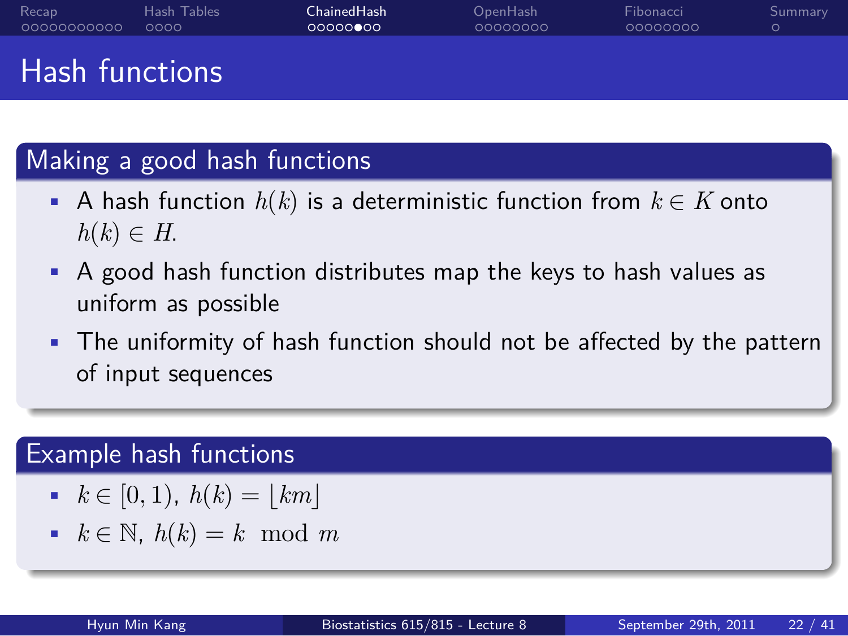## . . . . . . . . . . . Recap . . . . Hash Tables Hash functions

# . Making a good hash functions .

• A hash function *h*(*k*) is a deterministic function from *k ∈ K* onto  $h(k) \in H$ .

OpenHash<br>0000000

Fibonacci<br>0000000

. Summary

ChainedHash<br>00000**0**00

- A good hash function distributes map the keys to hash values as uniform as possible
- The uniformity of hash function should not be affected by the pattern of input sequences

# . Example hash functions .

- $k \in [0, 1), h(k) = |km|$
- *k ∈* N, *h*(*k*) = *k* mod *m*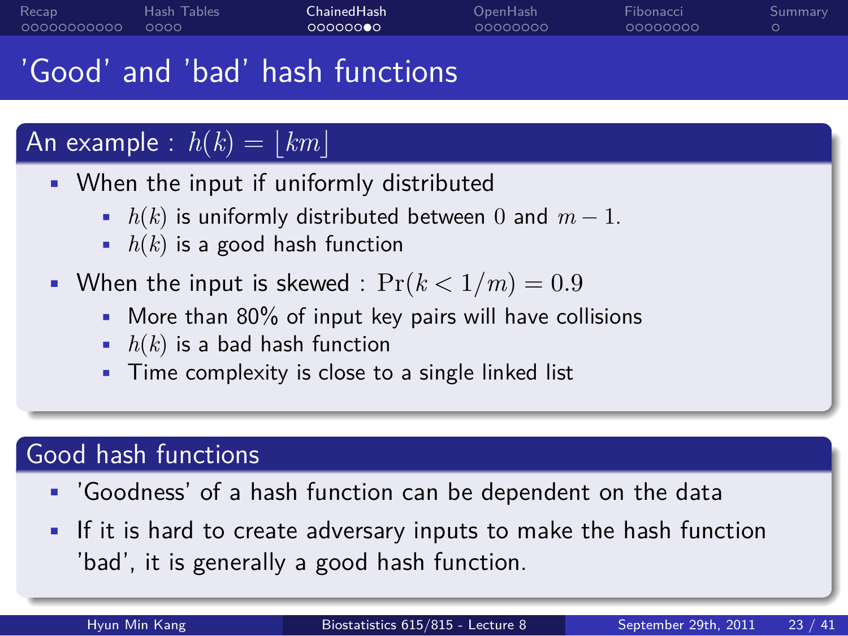ChainedHash<br>0000000

OpenHash<br>0000000

Fibonacci<br>0000000

. Summary

## 'Good' and 'bad' hash functions

#### . An example :  $h(k) = \lfloor km \rfloor$

- When the input if uniformly distributed
	- *h*(*k*) is uniformly distributed between 0 and *m −* 1.
	- *h*(*k*) is a good hash function
- When the input is skewed :  $Pr(k < 1/m) = 0.9$ 
	- More than 80% of input key pairs will have collisions
	- *h*(*k*) is a bad hash function
	- Time complexity is close to a single linked list

## . Good hash functions .

- 'Goodness' of a hash function can be dependent on the data
- If it is hard to create adversary inputs to make the hash function 'bad', it is generally a good hash function.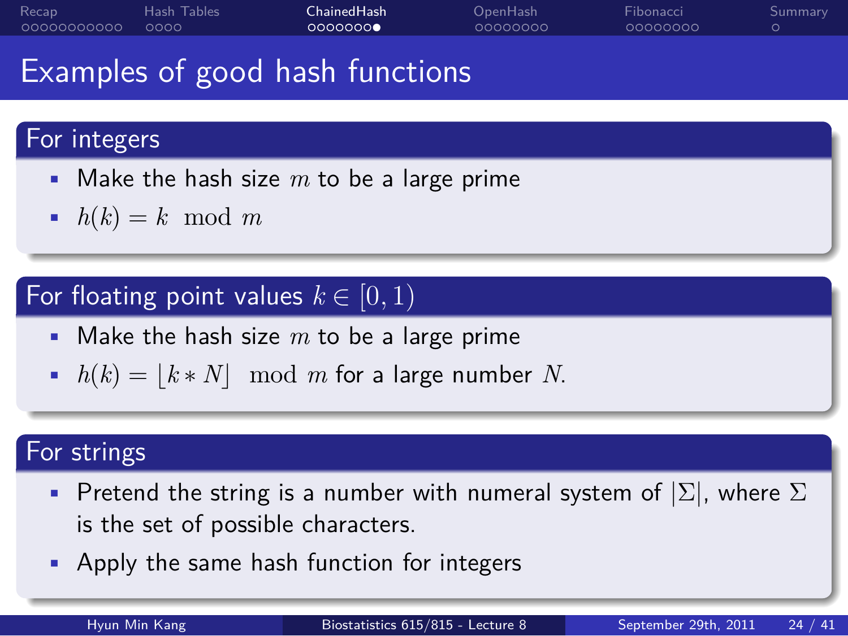### ChainedHash<br>0000000

OpenHash<br>0000000

Fibonacci<br>0000000

. Summary

Examples of good hash functions

# . For integers .

- Make the hash size *m* to be a large prime
- $h(k) = k \mod m$

#### . For floating point values  $k \in [0, 1)$

- Make the hash size *m* to be a large prime
- $h(k) = \lfloor k * N \rfloor \mod m$  for a large number *N*.

# . For strings .

- Pretend the string is a number with numeral system of *|*Σ*|*, where Σ is the set of possible characters.
- Apply the same hash function for integers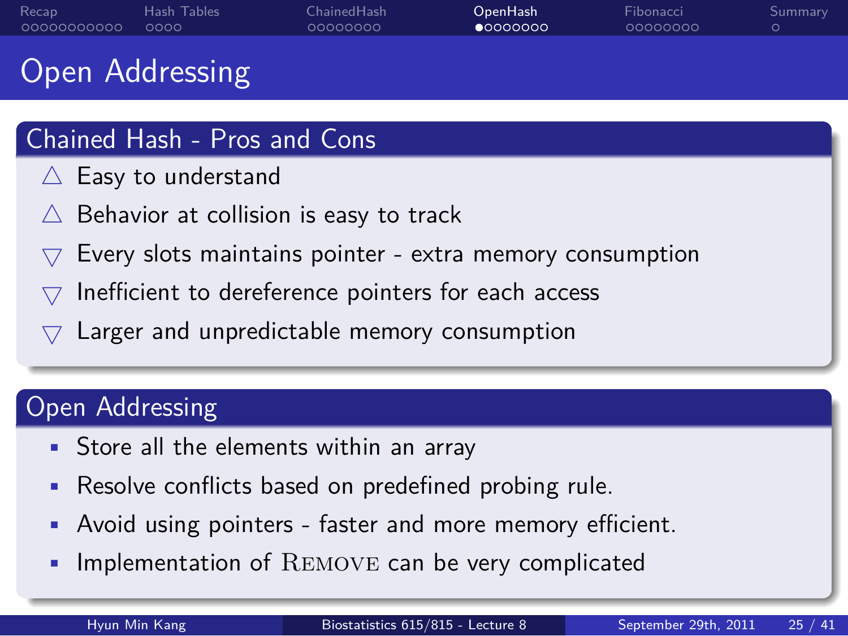#### . . . . . . . . . . . Recap . . . . Hash Tables ChainedHash<br>0000000 OpenHash<br>●0000000 Fibonacci<br>0000000

#### Open Addressing

## . Chained Hash - Pros and Cons .

- *△* Easy to understand
- *△* Behavior at collision is easy to track
- *▽* Every slots maintains pointer extra memory consumption
- *▽* Inefficient to dereference pointers for each access
- *▽* Larger and unpredictable memory consumption

# . Open Addressing .

- Store all the elements within an array
- Resolve conflicts based on predefined probing rule.
- Avoid using pointers faster and more memory efficient.
- Implementation of Remove can be very complicated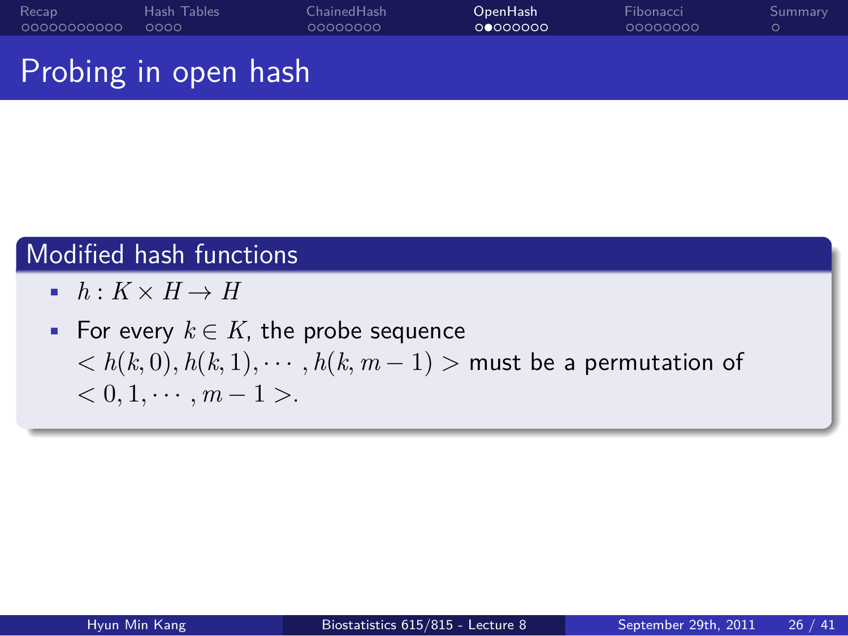#### . . . . . . . . . . . Recap . . . . Hash Tables ChainedHash<br>0000000 OpenHash<br>⊙●⊙⊙⊙⊙⊙ Fibonacci<br>0000000 . Summary

Probing in open hash

## . Modified hash functions .

- $h: K \times H \rightarrow H$
- For every *k ∈ K*, the probe sequence *< h*(*k,* 0)*, h*(*k,* 1)*, · · · , h*(*k, m −* 1) *>* must be a permutation of  $< 0, 1, \cdots, m - 1 >$ .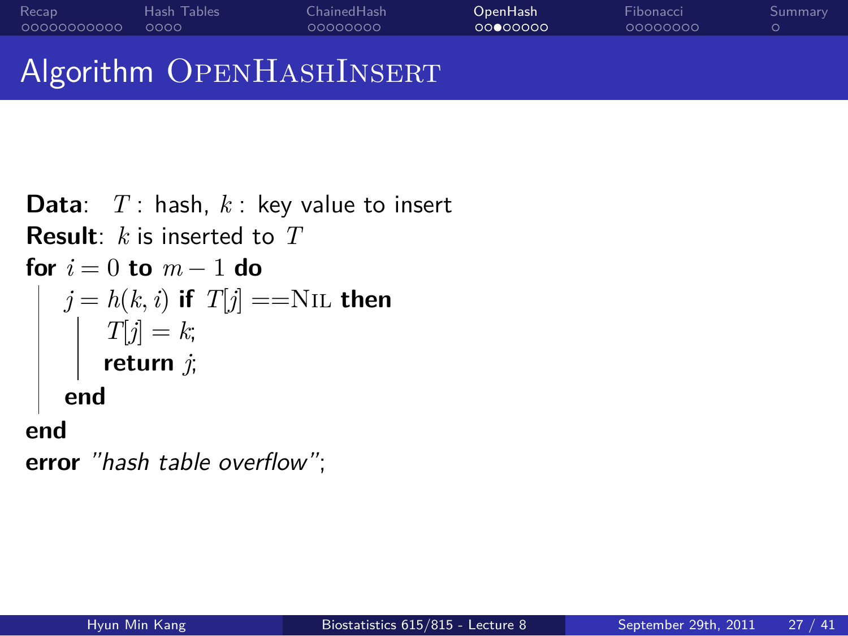#### . . . . . . . . . . . Recap . . . . Hash Tables ChainedHash<br>0000000 OpenHash<br>00000000

Algorithm OPENHASHINSERT

**Data**: *T* : hash, *k* : key value to insert **Result**: *k* is inserted to *T* **for** *i* = 0 **to** *m −* 1 **do**  $j = h(k, i)$  if  $T[j] == \text{NIL}$  then  $T[j] = k;$ **return** *j*; **end end error** *"hash table overflow"*;

Fibonacci<br>0000000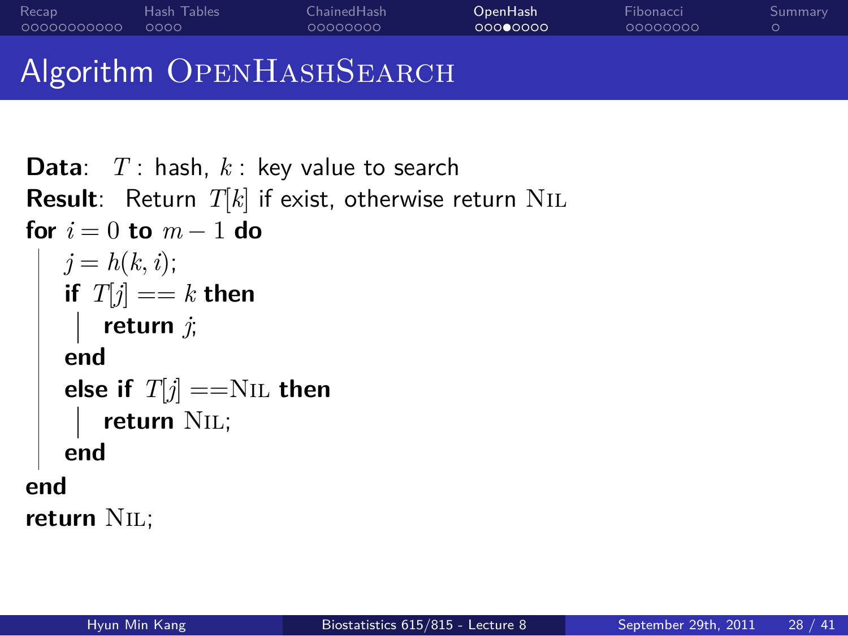#### . . . . . . . . . . . Recap . . . . Hash Tables ChainedHash<br>0000000

Fibonacci<br>0000000

. Summary

OpenHash<br>ooo●oooo

### Algorithm OPENHASHSEARCH

**Data**: *T* : hash, *k* : key value to search **Result**: Return *T*[*k*] if exist, otherwise return Nil **for** *i* = 0 **to** *m −* 1 **do**  $j = h(k, i);$ **if**  $T[j] == k$  **then return** *j*; **end else if**  $T[j] == NIL$  **then return** Nil; **end end return** Nil;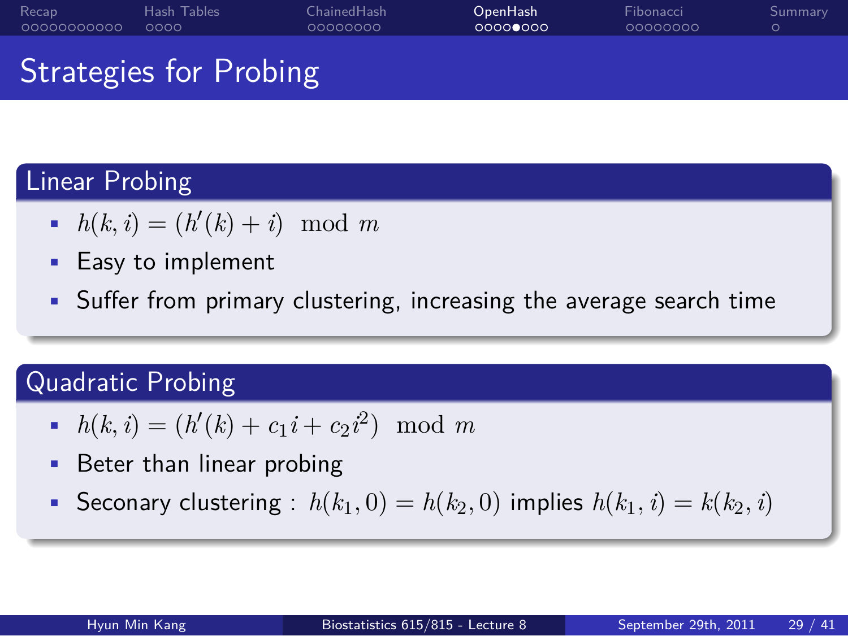#### . . . . . . . . . . . Recap . . . . Hash Tables ChainedHash<br>0000000 OpenHash<br>00000000 Fibonacci<br>0000000

Strategies for Probing

# . Linear Probing .

- $h(k, i) = (h'(k) + i) \mod m$
- Easy to implement
- Suffer from primary clustering, increasing the average search time

# . Quadratic Probing .

- $h(k, i) = (h'(k) + c_1 i + c_2 i^2) \mod m$
- Beter than linear probing
- Seconary clustering :  $h(k_1, 0) = h(k_2, 0)$  implies  $h(k_1, i) = k(k_2, i)$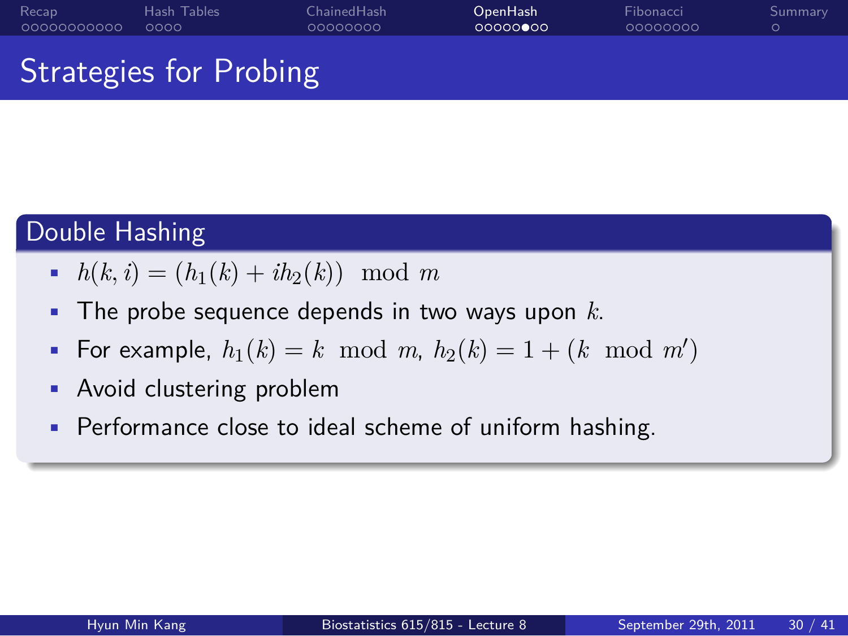# Strategies for Probing

# . Double Hashing .

. . . . . . . . . . . Recap . . . . Hash Tables

- $h(k, i) = (h_1(k) + ih_2(k)) \mod m$
- The probe sequence depends in two ways upon *k*.

ChainedHash<br>0000000

OpenHash<br>00000**0**00

- For example,  $h_1(k) = k \mod m$ ,  $h_2(k) = 1 + (k \mod m')$
- Avoid clustering problem
- Performance close to ideal scheme of uniform hashing.

Fibonacci<br>0000000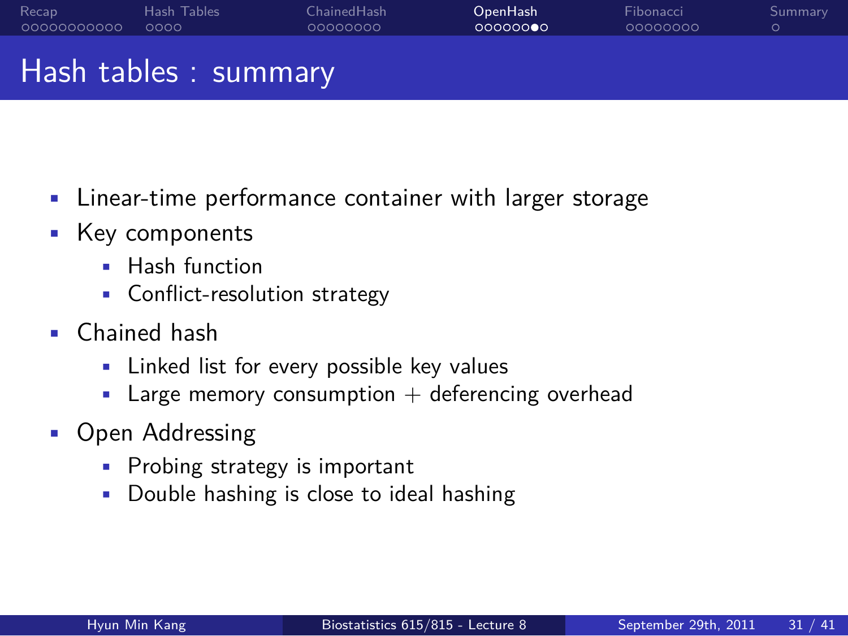#### . . . . . . . . . . . Recap . . . . Hash Tables ChainedHash<br>0000000 OpenHash<br>oooooo●c Fibonacci<br>0000000 . Summary

Hash tables : summary

- Linear-time performance container with larger storage
- Key components
	- Hash function
	- Conflict-resolution strategy
- Chained hash
	- Linked list for every possible key values
	- $\blacksquare$  Large memory consumption  $+$  deferencing overhead
- Open Addressing
	- Probing strategy is important
	- Double hashing is close to ideal hashing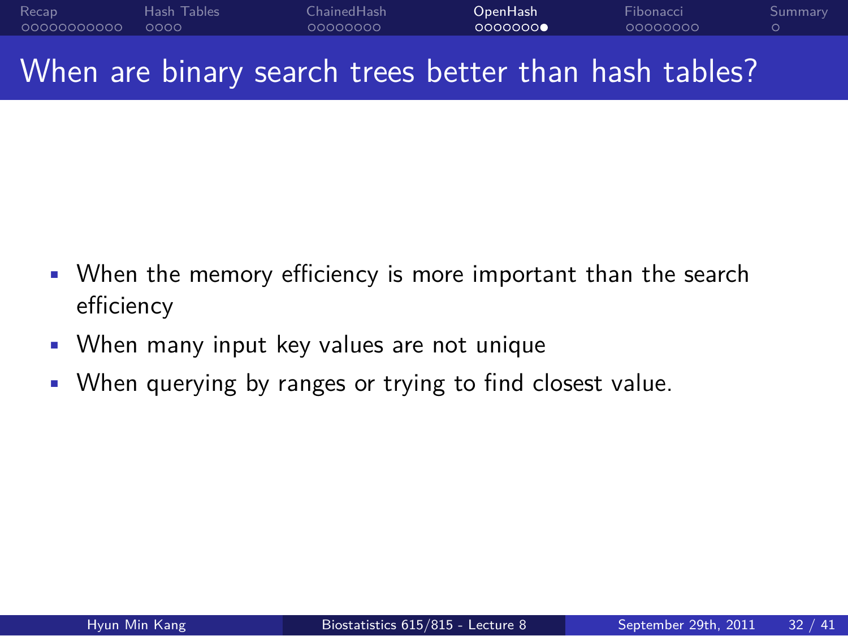#### . . . . . . . . . . . Recap . . . . Hash Tables ChainedHash<br>0000000 OpenHash<br>0000000 Fibonacci<br>0000000 . Summary When are binary search trees better than hash tables?

- When the memory efficiency is more important than the search efficiency
- When many input key values are not unique
- When querying by ranges or trying to find closest value.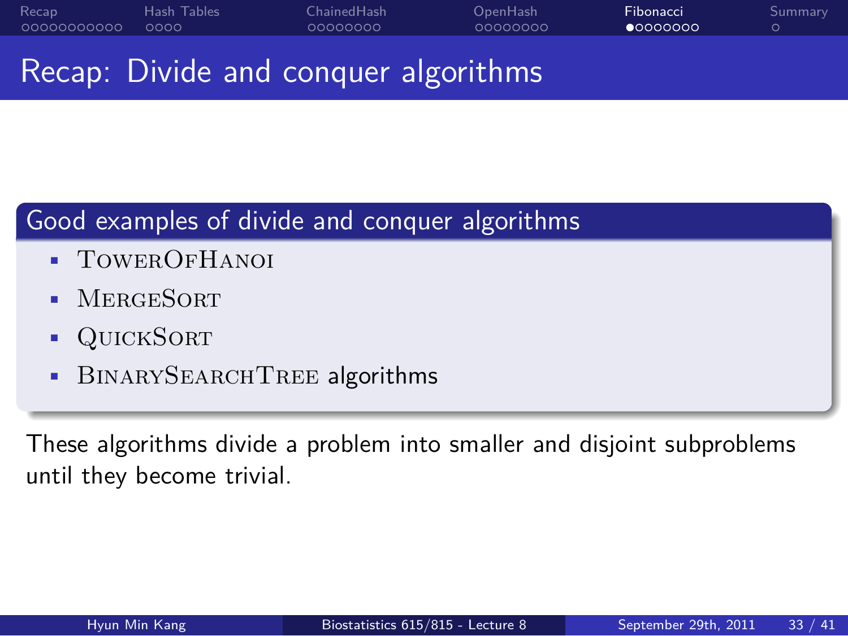#### . . . . . . . . . . . Recap . . . . Hash Tables ChainedHash<br>0000000 OpenHash<br>0000000 Fibonacci<br>● 0000000

Recap: Divide and conquer algorithms

# . Good examples of divide and conquer algorithms .

- TowerOfHanoi
- MergeSort
- QuickSort
- BINARYSEARCHTREE algorithms

These algorithms divide a problem into smaller and disjoint subproblems until they become trivial.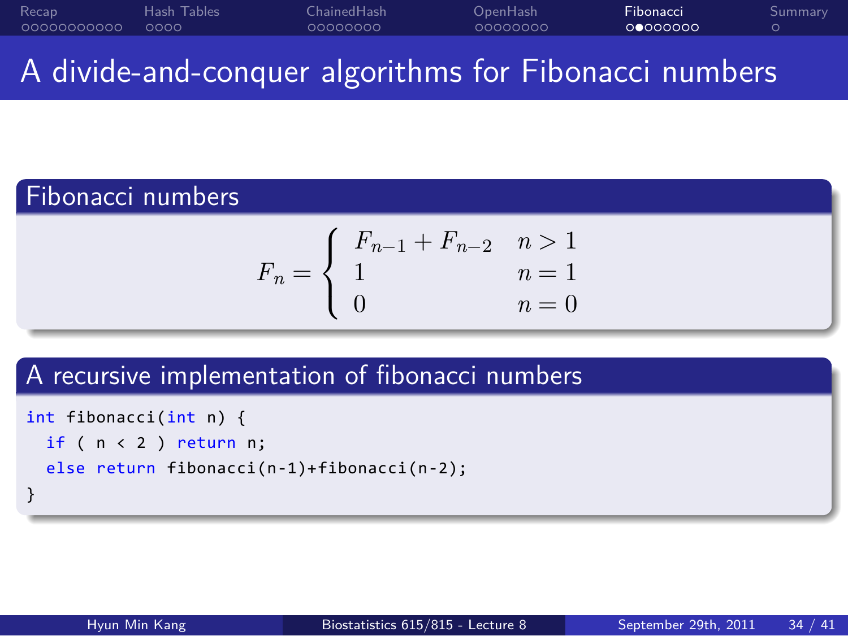#### . . . . . . . . . . . Recap . . . . Hash Tables ChainedHash<br>0000000 OpenHash<br>0000000 Fibonacci<br>0000000 . Summary

A divide-and-conquer algorithms for Fibonacci numbers

## . Fibonacci numbers .

$$
F_n = \begin{cases} F_{n-1} + F_{n-2} & n > 1 \\ 1 & n = 1 \\ 0 & n = 0 \end{cases}
$$

# . A recursive implementation of fibonacci numbers .

```
int fibonacci(int n) {
 if ( n < 2 ) return n;
  else return fibonacci(n-1)+fibonacci(n-2);
```
. }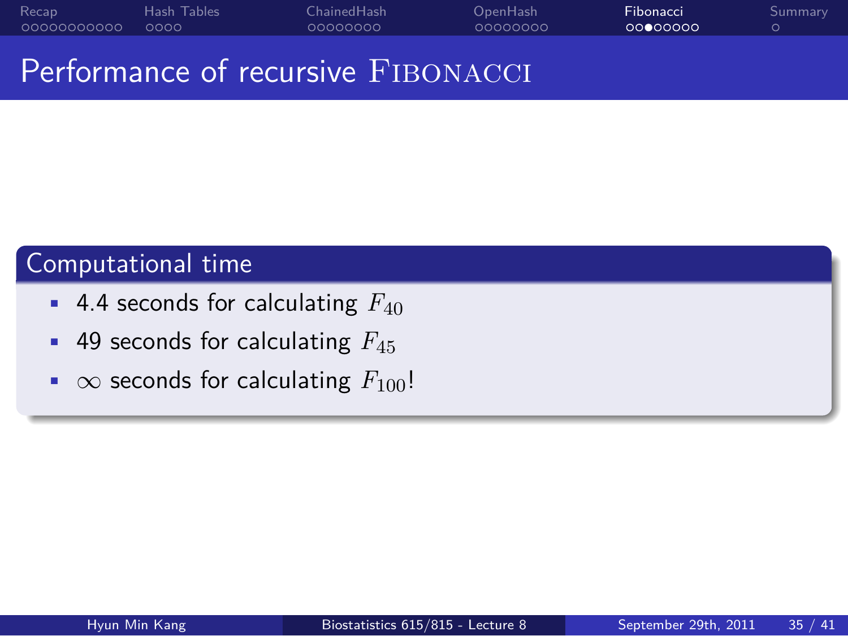#### . . . . . . . . . . . Recap . . . . Hash Tables ChainedHash<br>0000000 OpenHash<br>0000000 Fibonacci<br>00000000

Performance of recursive FIBONACCI

# . Computational time .

- 4.4 seconds for calculating *F*<sup>40</sup>
- 49 seconds for calculating *F*<sup>45</sup>
- *∞* seconds for calculating *F*100!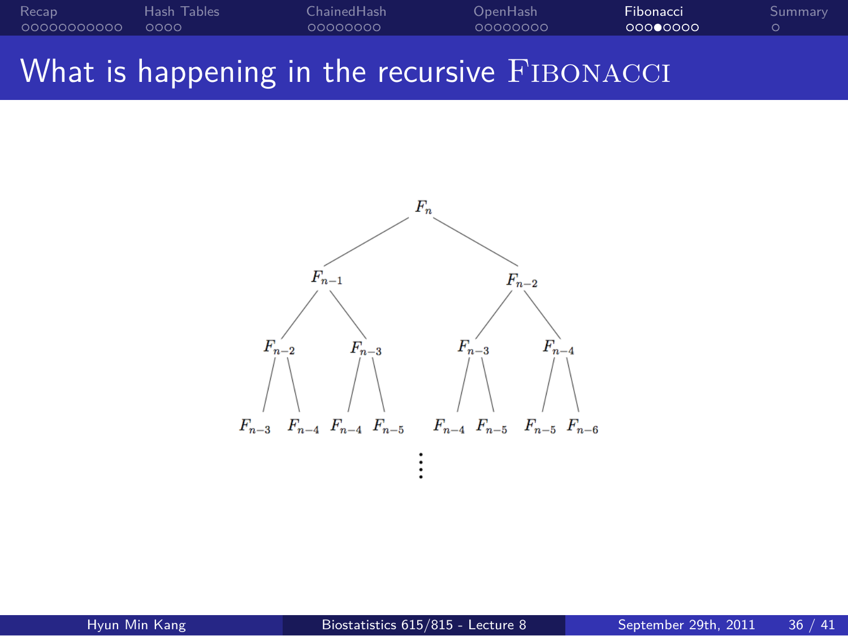#### . . . . . . . . . . . Recap . . . . Hash Tables ChainedHash<br>0000000 OpenHash<br>0000000 Fibonacci<br>000**0**000 . Summary What is happening in the recursive FIBONACCI

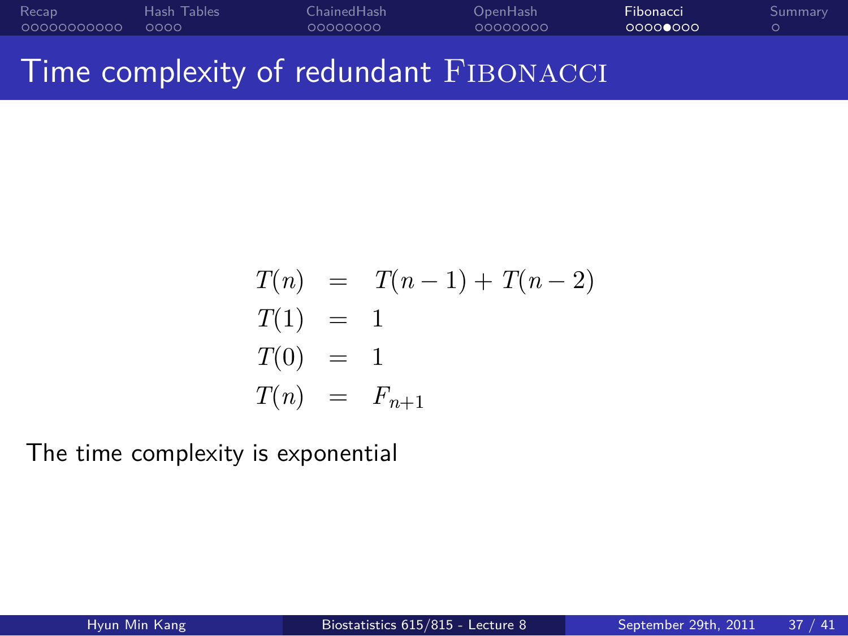#### . . . . . . . . . . . Recap . . . . Hash Tables ChainedHash<br>0000000 OpenHash<br>0000000 Fibonacci<br>00000000 . Summary Time complexity of redundant FIBONACCI

$$
T(n) = T(n-1) + T(n-2)
$$
  
\n
$$
T(1) = 1
$$
  
\n
$$
T(0) = 1
$$
  
\n
$$
T(n) = F_{n+1}
$$

The time complexity is exponential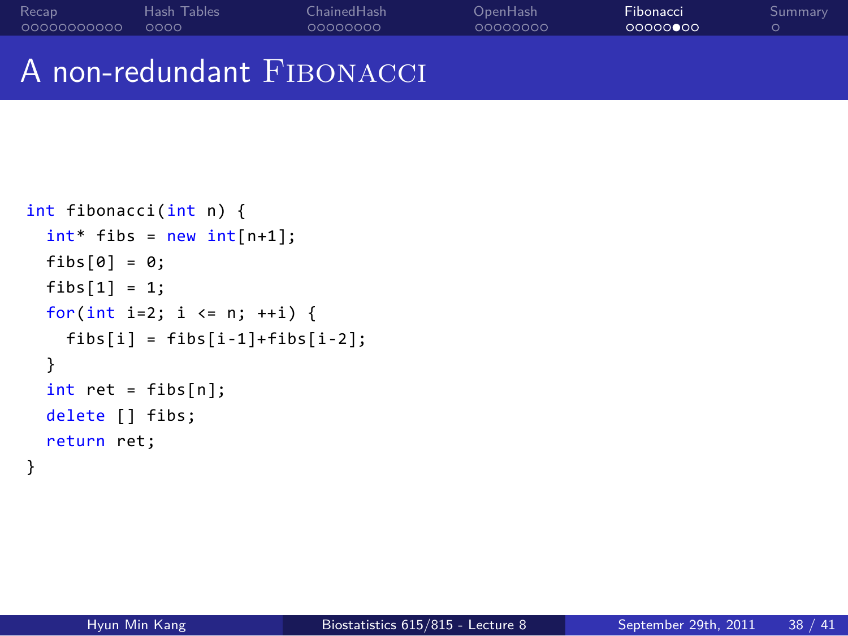# A non-redundant FIBONACCI

. . . . . . . . . . . Recap . . . . Hash Tables

```
int fibonacci(int n) {
 int* fibs = new int[n+1];
 fibs[0] = 0;
  fibs[1] = 1;
  for(int i=2; i <= n; ++i) {
   fibs[i] = fibs[i-1] + fibs[i-2];}
  int ret = fibs[n];
  delete [] fibs;
  return ret;
}
```
OpenHash<br>0000000

Fibonacci<br>0000000

. Summary

ChainedHash<br>0000000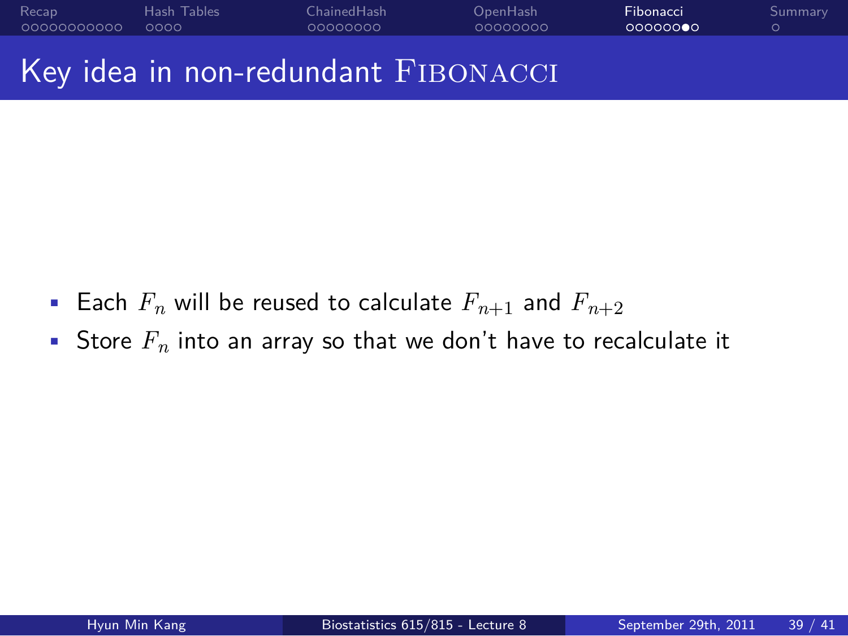#### . . . . . . . . . . . Recap . . . . Hash Tables ChainedHash<br>0000000 OpenHash<br>0000000 Fibonacci<br>000000**0**0 . Summary Key idea in non-redundant FIBONACCI

- Each  $F_n$  will be reused to calculate  $F_{n+1}$  and  $F_{n+2}$
- Store *F<sup>n</sup>* into an array so that we don't have to recalculate it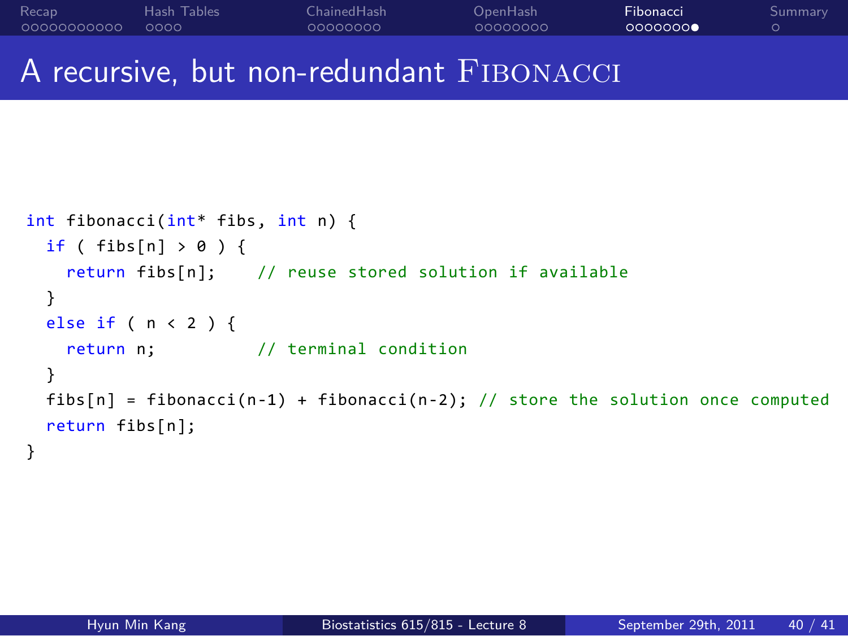. . . . . . . . . . . Recap . . . . Hash Tables ChainedHash<br>0000000 OpenHash<br>0000000 Fibonacci<br>0000000 . Summary A recursive, but non-redundant FIBONACCI

```
int fibonacci(int* fibs, int n) {
 if ( fibs[n] > 0 ) {
   return fibs[n]; // reuse stored solution if available
  }
  else if ( n < 2 ) {
   return n; // terminal condition
  }
  fibs[n] = fibonacci(n-1) + fibonacci(n-2); // store the solution once computed
  return fibs[n];
}
```